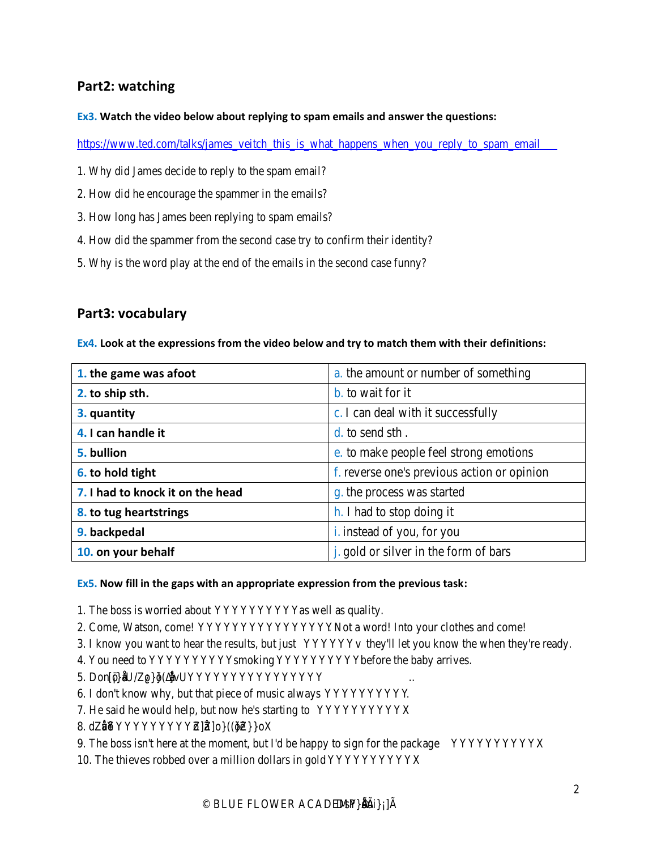# **Part2: watching**

**Ex3. Watch the video below about replying to spam emails and answer the questions:** 

[https://www.ted.com/talks/james\\_veitch\\_this\\_is\\_what\\_happens\\_when\\_you\\_reply\\_to\\_spam\\_email](https://www.ted.com/talks/james_veitch_this_is_what_happens_when_you_reply_to_spam_email)

- 1. Why did James decide to reply to the spam email?
- 2. How did he encourage the spammer in the emails?
- 3. How long has James been replying to spam emails?
- 4. How did the spammer from the second case try to confirm their identity?
- 5. Why is the word play at the end of the emails in the second case funny?

## **Part3: vocabulary**

**Ex4. Look at the expressions from the video below and try to match them with their definitions:** 

| 1. the game was afoot            | a. the amount or number of something        |
|----------------------------------|---------------------------------------------|
| 2. to ship sth.                  | b. to wait for it                           |
| 3. quantity                      | c. I can deal with it successfully          |
| 4. I can handle it               | d. to send sth                              |
| 5. bullion                       | e. to make people feel strong emotions      |
| 6. to hold tight                 | f. reverse one's previous action or opinion |
| 7. I had to knock it on the head | g. the process was started                  |
| 8. to tug heartstrings           | h. I had to stop doing it                   |
| 9. backpedal                     | instead of you, for you                     |
| 10. on your behalf               | gold or silver in the form of bars          |

**Ex5. Now fill in the gaps with an appropriate expression from the previous task:** 

| 1. The boss is worried about YYYYYYYYYYY as well as quality.                   |                                                                                                        |             |
|--------------------------------------------------------------------------------|--------------------------------------------------------------------------------------------------------|-------------|
|                                                                                |                                                                                                        |             |
|                                                                                | 3. I know you want to hear the results, but just YYYYYY v they'll let you know the when they're ready. |             |
|                                                                                | 4. You need to YYYYYYYYYY smoking YYYYYYYYYY before the baby arrives.                                  |             |
|                                                                                |                                                                                                        |             |
| 6. I don't know why, but that piece of music always                            | YYYYYYYYYY                                                                                             |             |
| 7. He said he would help, but now he's starting to                             | Y Y Y Y Y Y Y Y Y Y X                                                                                  |             |
| 8. dZ % Œ vš · YYYYYYYYYY šZ ]Œ Z]o }(( š } · Z }}oX                           |                                                                                                        |             |
| 9. The boss isn't here at the moment, but I'd be happy to sign for the package |                                                                                                        | YYYYYYYYYYX |
| 10. The thieves robbed over a million dollars in gold                          | YYYYYYYYYX                                                                                             |             |